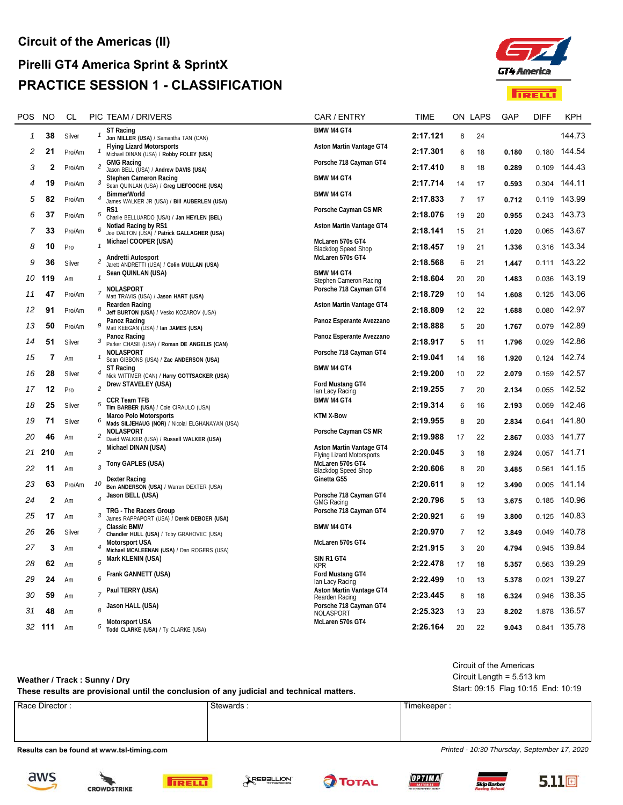## **Pirelli GT4 America Sprint & SprintX PRACTICE SESSION 1 - CLASSIFICATION**



| <b>POS</b>   | <b>NO</b>    | CL     |                          | PIC TEAM / DRIVERS                                                               | CAR / ENTRY                                                         | <b>TIME</b> |                | ON LAPS | GAP   | <b>DIFF</b> | <b>KPH</b>   |
|--------------|--------------|--------|--------------------------|----------------------------------------------------------------------------------|---------------------------------------------------------------------|-------------|----------------|---------|-------|-------------|--------------|
| $\mathbf{1}$ | 38           | Silver |                          | <b>ST Racing</b><br>Jon MILLER (USA) / Samantha TAN (CAN)                        | <b>BMW M4 GT4</b>                                                   | 2:17.121    | 8              | 24      |       |             | 144.73       |
| 2            | 21           | Pro/Am | 1                        | <b>Flying Lizard Motorsports</b><br>Michael DINAN (USA) / Robby FOLEY (USA)      | Aston Martin Vantage GT4                                            | 2:17.301    | 6              | 18      | 0.180 |             | 0.180 144.54 |
| 3            | $\mathbf{2}$ | Pro/Am | $\overline{c}$           | <b>GMG Racing</b><br>Jason BELL (USA) / Andrew DAVIS (USA)                       | Porsche 718 Cayman GT4                                              | 2:17.410    | 8              | 18      | 0.289 | 0.109       | 144.43       |
| 4            | 19           | Pro/Am | 3                        | <b>Stephen Cameron Racing</b><br>Sean QUINLAN (USA) / Greg LIEFOOGHE (USA)       | BMW M4 GT4                                                          | 2:17.714    | 14             | 17      | 0.593 |             | 0.304 144.11 |
| 5            | 82           | Pro/Am | $\boldsymbol{4}$         | <b>BimmerWorld</b><br>James WALKER JR (USA) / Bill AUBERLEN (USA)                | <b>BMW M4 GT4</b>                                                   | 2:17.833    | $\overline{7}$ | 17      | 0.712 | 0.119       | 143.99       |
| 6            | 37           | Pro/Am | $\sqrt{5}$               | RS1<br>Charlie BELLUARDO (USA) / Jan HEYLEN (BEL)                                | Porsche Cayman CS MR                                                | 2:18.076    | 19             | 20      | 0.955 |             | 0.243 143.73 |
| 7            | 33           | Pro/Am | 6                        | Notlad Racing by RS1                                                             | <b>Aston Martin Vantage GT4</b>                                     | 2:18.141    | 15             | 21      | 1.020 |             | 0.065 143.67 |
| 8            | 10           | Pro    | $\mathbf{1}$             | Joe DALTON (USA) / Patrick GALLAGHER (USA)<br>Michael COOPER (USA)               | McLaren 570s GT4                                                    | 2:18.457    | 19             | 21      | 1.336 |             | 0.316 143.34 |
| 9            | 36           |        | $\overline{c}$           | Andretti Autosport                                                               | <b>Blackdog Speed Shop</b><br>McLaren 570s GT4                      | 2:18.568    |                |         |       |             | 0.111 143.22 |
|              |              | Silver | $\mathbf{1}$             | Jarett ANDRETTI (USA) / Colin MULLAN (USA)<br>Sean QUINLAN (USA)                 | <b>BMW M4 GT4</b>                                                   |             | 6              | 21      | 1.447 |             |              |
| 10           | 119          | Am     |                          | NOLASPORT                                                                        | Stephen Cameron Racing<br>Porsche 718 Cayman GT4                    | 2:18.604    | 20             | 20      | 1.483 |             | 0.036 143.19 |
| 11           | 47           | Pro/Am | $\overline{7}$           | Matt TRAVIS (USA) / Jason HART (USA)<br>Rearden Racing                           | Aston Martin Vantage GT4                                            | 2:18.729    | 10             | 14      | 1.608 |             | 0.125 143.06 |
| 12           | 91           | Pro/Am | 8                        | Jeff BURTON (USA) / Vesko KOZAROV (USA)<br>Panoz Racing                          | Panoz Esperante Avezzano                                            | 2:18.809    | 12             | 22      | 1.688 | 0.080       | 142.97       |
| 13           | 50           | Pro/Am | $\boldsymbol{9}$         | Matt KEEGAN (USA) / Ian JAMES (USA)<br>Panoz Racing                              | Panoz Esperante Avezzano                                            | 2:18.888    | 5              | 20      | 1.767 |             | 0.079 142.89 |
| 14           | 51           | Silver | 3                        | Parker CHASE (USA) / Roman DE ANGELIS (CAN)<br>NOLASPORT                         | Porsche 718 Cayman GT4                                              | 2:18.917    | 5              | 11      | 1.796 | 0.029       | 142.86       |
| 15           | 7            | Am     | $\mathbf{1}$             | Sean GIBBONS (USA) / Zac ANDERSON (USA)<br><b>ST Racing</b>                      | <b>BMW M4 GT4</b>                                                   | 2:19.041    | 14             | 16      | 1.920 |             | 0.124 142.74 |
| 16           | 28           | Silver | 4                        | Nick WITTMER (CAN) / Harry GOTTSACKER (USA)<br>Drew STAVELEY (USA)               | Ford Mustang GT4                                                    | 2:19.200    | 10             | 22      | 2.079 | 0.159       | 142.57       |
| 17           | 12           | Pro    | $\overline{c}$           |                                                                                  | lan Lacy Racing                                                     | 2:19.255    | 7              | 20      | 2.134 | 0.055       | 142.52       |
| 18           | 25           | Silver | 5                        | <b>CCR Team TFB</b><br>Tim BARBER (USA) / Cole CIRAULO (USA)                     | <b>BMW M4 GT4</b>                                                   | 2:19.314    | 6              | 16      | 2.193 | 0.059       | 142.46       |
| 19           | 71           | Silver | 6                        | <b>Marco Polo Motorsports</b><br>Mads SILJEHAUG (NOR) / Nicolai ELGHANAYAN (USA) | <b>KTM X-Bow</b>                                                    | 2:19.955    | 8              | 20      | 2.834 |             | 0.641 141.80 |
| 20           | 46           | Am     | $\overline{c}$           | NOLASPORT<br>David WALKER (USA) / Russell WALKER (USA)                           | Porsche Cayman CS MR                                                | 2:19.988    | 17             | 22      | 2.867 |             | 0.033 141.77 |
| 21           | 210          | Am     | $\overline{c}$           | Michael DINAN (USA)                                                              | <b>Aston Martin Vantage GT4</b><br><b>Flying Lizard Motorsports</b> | 2:20.045    | 3              | 18      | 2.924 |             | 0.057 141.71 |
| 22           | 11           | Am     | 3                        | Tony GAPLES (USA)                                                                | McLaren 570s GT4<br><b>Blackdog Speed Shop</b>                      | 2:20.606    | 8              | 20      | 3.485 |             | 0.561 141.15 |
| 23           | 63           | Pro/Am | 10                       | Dexter Racing<br>Ben ANDERSON (USA) / Warren DEXTER (USA)                        | Ginetta G55                                                         | 2:20.611    | 9              | 12      | 3.490 |             | 0.005 141.14 |
| 24           | $\mathbf 2$  | Am     | $\overline{\mathcal{A}}$ | Jason BELL (USA)                                                                 | Porsche 718 Cayman GT4<br><b>GMG Racing</b>                         | 2:20.796    | 5              | 13      | 3.675 | 0.185       | 140.96       |
| 25           | 17           | Am     | 3                        | TRG - The Racers Group<br>James RAPPAPORT (USA) / Derek DEBOER (USA)             | Porsche 718 Cayman GT4                                              | 2:20.921    | 6              | 19      | 3.800 |             | 0.125 140.83 |
| 26           | 26           | Silver | $\boldsymbol{7}$         | <b>Classic BMW</b><br>Chandler HULL (USA) / Toby GRAHOVEC (USA)                  | <b>BMW M4 GT4</b>                                                   | 2:20.970    | $\overline{7}$ | 12      | 3.849 | 0.049       | 140.78       |
| 27           | 3            | Am     |                          | <b>Motorsport USA</b><br>Michael MCALEENAN (USA) / Dan ROGERS (USA)              | McLaren 570s GT4                                                    | 2:21.915    | 3              | 20      | 4.794 | 0.945       | 139.84       |
| 28           | 62           | Am     | 5                        | Mark KLENIN (USA)                                                                | SIN R1 GT4<br><b>KPR</b>                                            | 2:22.478    | 17             | 18      | 5.357 |             | 0.563 139.29 |
| 29           | 24           | Am     | 6                        | Frank GANNETT (USA)                                                              | Ford Mustang GT4                                                    | 2:22.499    | 10             | 13      | 5.378 |             | 0.021 139.27 |
| 30           | 59           | Am     |                          | Paul TERRY (USA)                                                                 | lan Lacy Racing<br><b>Aston Martin Vantage GT4</b>                  | 2:23.445    | 8              | 18      | 6.324 | 0.946       | 138.35       |
| 31           | 48           | Am     |                          | Jason HALL (USA)                                                                 | Rearden Racing<br>Porsche 718 Cayman GT4                            | 2:25.323    | 13             | 23      | 8.202 | 1.878       | 136.57       |
| 32           | 111          | Am     | 5                        | Motorsport USA                                                                   | NOLASPORT<br>McLaren 570s GT4                                       | 2:26.164    | 20             | 22      | 9.043 |             | 0.841 135.78 |
|              |              |        |                          | Todd CLARKE (USA) / Ty CLARKE (USA)                                              |                                                                     |             |                |         |       |             |              |

## Circuit of the Americas

Circuit Length = 5.513 km

**These results are provisional until the conclusion of any judicial and technical matters.** Start: 09:15 Flag 10:15 End: 10:19

Race Director : Stewards : Stewards : Stewards : Timekeeper : Timekeeper :

**Results can be found at www.tsl-timing.com** *Printed - 10:30 Thursday, September 17, 2020*

**Weather / Track : Sunny / Dry**